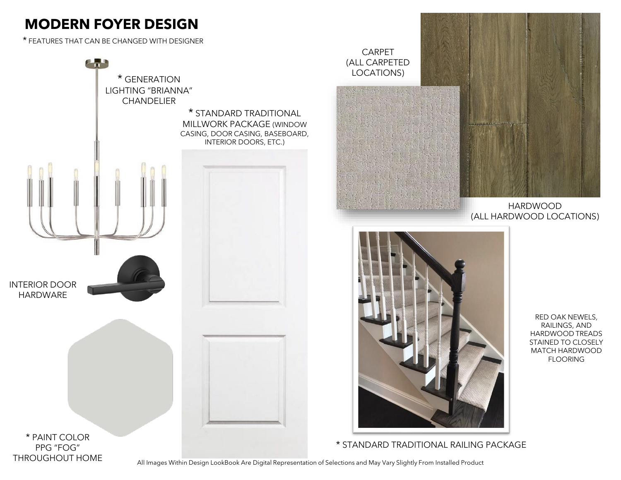# **MODERN FOYER DESIGN**

THROUGHOUT HOME

\* FEATURES THAT CAN BE CHANGED WITH DESIGNER





HARDWOOD (ALL HARDWOOD LOCATIONS)



\* STANDARD TRADITIONAL RAILING PACKAGE

RED OAK NEWELS, RAILINGS, AND HARDWOOD TREADS STAINED TO CLOSELY MATCH HARDWOOD FLOORING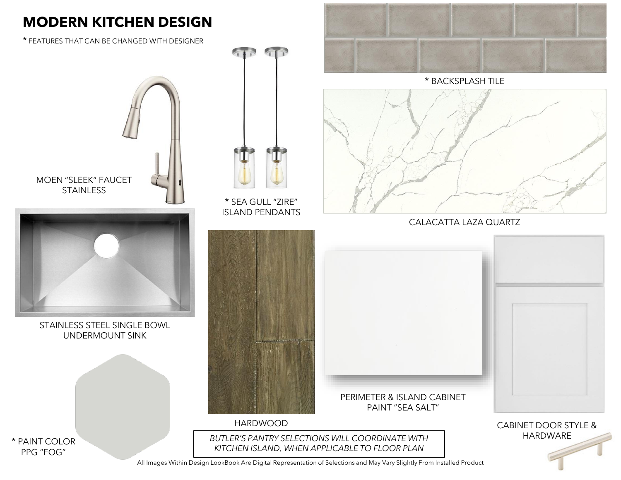### **MODERN KITCHEN DESIGN**

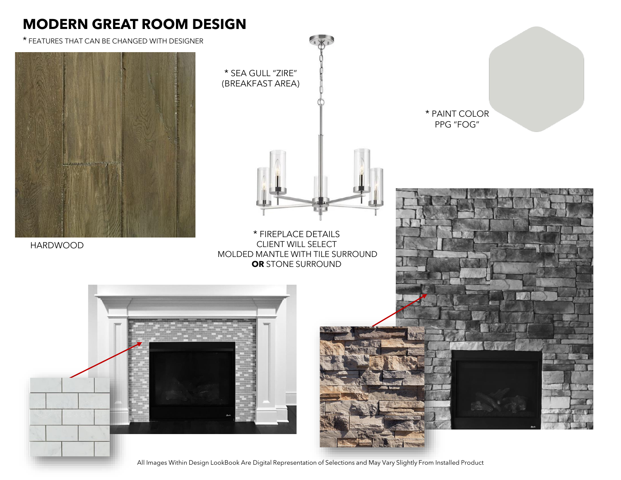#### **MODERN GREAT ROOM DESIGN**

\* FEATURES THAT CAN BE CHANGED WITH DESIGNER



HARDWOOD



\* PAINT COLOR PPG "FOG"

\* FIREPLACE DETAILS CLIENT WILL SELECT MOLDED MANTLE WITH TILE SURROUND **OR** STONE SURROUND

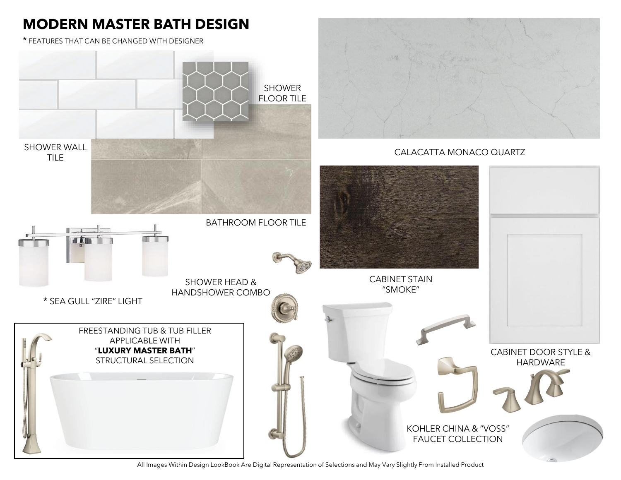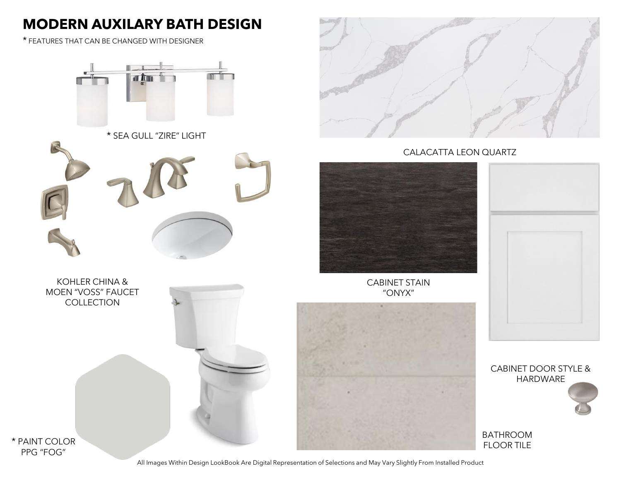### **MODERN AUXILARY BATH DESIGN**

\* FEATURES THAT CAN BE CHANGED WITH DESIGNER



\* SEA GULL "ZIRE" LIGHT



KOHLER CHINA & MOEN "VOSS" FAUCET **COLLECTION** 



CALACATTA LEON QUARTZ



CABINET STAIN "ONYX"



CABINET DOOR STYLE & HARDWARE

BATHROOM

PPG "FOG"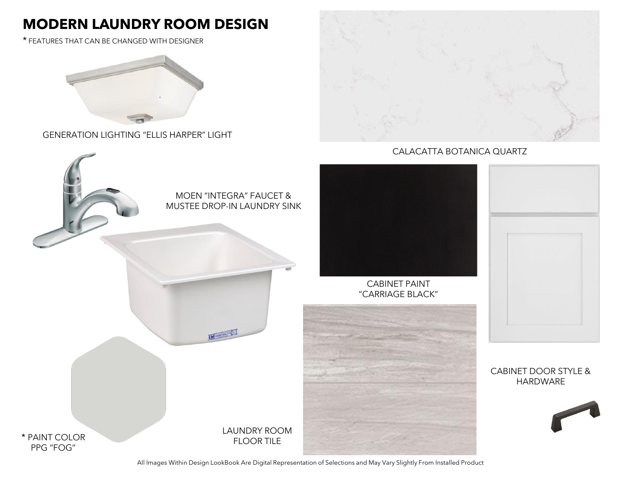## **MODERN LAUNDRY ROOM DESIGN**

\* FEATURES THAT CAN BE CHANGED WITH DESIGNER



GENERATION LIGHTING "ELLIS HARPER" LIGHT



CALACATTA BOTANICA QUARTZ